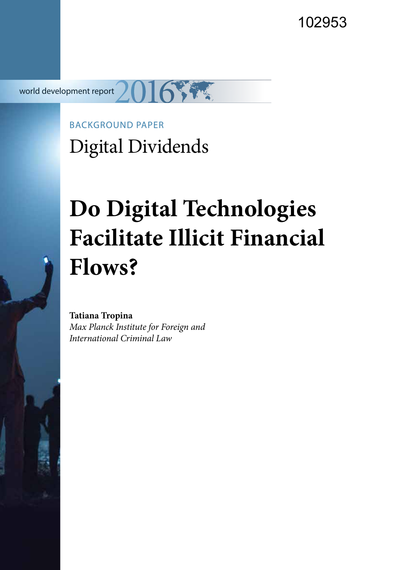102953

world development report

BACKGROUND PAPER Digital Dividends

# **Do Digital Technologies Facilitate Illicit Financial Flows?**

**Tatiana Tropina** *Max Planck Institute for Foreign and International Criminal Law*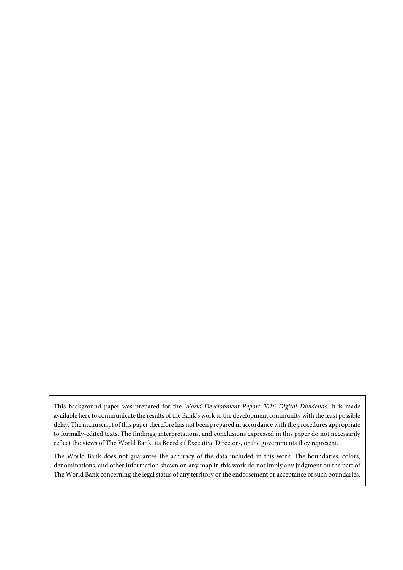This background paper was prepared for the *World Development Report 2016 Digital Dividends*. It is made available here to communicate the results of the Bank's work to the development community with the least possible delay. The manuscript of this paper therefore has not been prepared in accordance with the procedures appropriate to formally-edited texts. The findings, interpretations, and conclusions expressed in this paper do not necessarily reflect the views of The World Bank, its Board of Executive Directors, or the governments they represent.

The World Bank does not guarantee the accuracy of the data included in this work. The boundaries, colors, denominations, and other information shown on any map in this work do not imply any judgment on the part of The World Bank concerning the legal status of any territory or the endorsement or acceptance of such boundaries.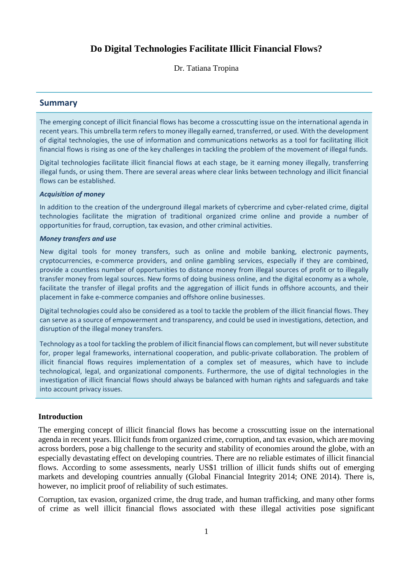# **Do Digital Technologies Facilitate Illicit Financial Flows?**

Dr. Tatiana Tropina

# **Summary**

The emerging concept of illicit financial flows has become a crosscutting issue on the international agenda in recent years. This umbrella term refers to money illegally earned, transferred, or used. With the development of digital technologies, the use of information and communications networks as a tool for facilitating illicit financial flows is rising as one of the key challenges in tackling the problem of the movement of illegal funds.

Digital technologies facilitate illicit financial flows at each stage, be it earning money illegally, transferring illegal funds, or using them. There are several areas where clear links between technology and illicit financial flows can be established.

#### *Acquisition of money*

In addition to the creation of the underground illegal markets of cybercrime and cyber-related crime, digital technologies facilitate the migration of traditional organized crime online and provide a number of opportunities for fraud, corruption, tax evasion, and other criminal activities.

#### *Money transfers and use*

New digital tools for money transfers, such as online and mobile banking, electronic payments, cryptocurrencies, e-commerce providers, and online gambling services, especially if they are combined, provide a countless number of opportunities to distance money from illegal sources of profit or to illegally transfer money from legal sources. New forms of doing business online, and the digital economy as a whole, facilitate the transfer of illegal profits and the aggregation of illicit funds in offshore accounts, and their placement in fake e-commerce companies and offshore online businesses.

Digital technologies could also be considered as a tool to tackle the problem of the illicit financial flows. They can serve as a source of empowerment and transparency, and could be used in investigations, detection, and disruption of the illegal money transfers.

Technology as a tool for tackling the problem of illicit financial flows can complement, but will never substitute for, proper legal frameworks, international cooperation, and public-private collaboration. The problem of illicit financial flows requires implementation of a complex set of measures, which have to include technological, legal, and organizational components. Furthermore, the use of digital technologies in the investigation of illicit financial flows should always be balanced with human rights and safeguards and take into account privacy issues.

# **Introduction**

The emerging concept of illicit financial flows has become a crosscutting issue on the international agenda in recent years. Illicit funds from organized crime, corruption, and tax evasion, which are moving across borders, pose a big challenge to the security and stability of economies around the globe, with an especially devastating effect on developing countries. There are no reliable estimates of illicit financial flows. According to some assessments, nearly US\$1 trillion of illicit funds shifts out of emerging markets and developing countries annually (Global Financial Integrity 2014; ONE 2014). There is, however, no implicit proof of reliability of such estimates.

Corruption, tax evasion, organized crime, the drug trade, and human trafficking, and many other forms of crime as well illicit financial flows associated with these illegal activities pose significant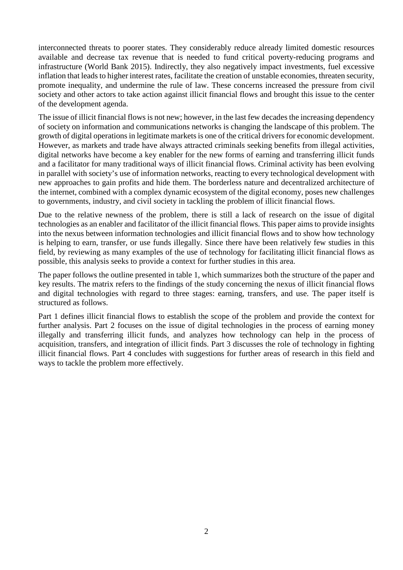interconnected threats to poorer states. They considerably reduce already limited domestic resources available and decrease tax revenue that is needed to fund critical poverty-reducing programs and infrastructure (World Bank 2015). Indirectly, they also negatively impact investments, fuel excessive inflation that leads to higher interest rates, facilitate the creation of unstable economies, threaten security, promote inequality, and undermine the rule of law. These concerns increased the pressure from civil society and other actors to take action against illicit financial flows and brought this issue to the center of the development agenda.

The issue of illicit financial flows is not new; however, in the last few decades the increasing dependency of society on information and communications networks is changing the landscape of this problem. The growth of digital operations in legitimate markets is one of the critical drivers for economic development. However, as markets and trade have always attracted criminals seeking benefits from illegal activities, digital networks have become a key enabler for the new forms of earning and transferring illicit funds and a facilitator for many traditional ways of illicit financial flows. Criminal activity has been evolving in parallel with society's use of information networks, reacting to every technological development with new approaches to gain profits and hide them. The borderless nature and decentralized architecture of the internet, combined with a complex dynamic ecosystem of the digital economy, poses new challenges to governments, industry, and civil society in tackling the problem of illicit financial flows.

Due to the relative newness of the problem, there is still a lack of research on the issue of digital technologies as an enabler and facilitator of the illicit financial flows. This paper aims to provide insights into the nexus between information technologies and illicit financial flows and to show how technology is helping to earn, transfer, or use funds illegally. Since there have been relatively few studies in this field, by reviewing as many examples of the use of technology for facilitating illicit financial flows as possible, this analysis seeks to provide a context for further studies in this area.

The paper follows the outline presented in table 1, which summarizes both the structure of the paper and key results. The matrix refers to the findings of the study concerning the nexus of illicit financial flows and digital technologies with regard to three stages: earning, transfers, and use. The paper itself is structured as follows.

Part 1 defines illicit financial flows to establish the scope of the problem and provide the context for further analysis. Part 2 focuses on the issue of digital technologies in the process of earning money illegally and transferring illicit funds, and analyzes how technology can help in the process of acquisition, transfers, and integration of illicit finds. Part 3 discusses the role of technology in fighting illicit financial flows. Part 4 concludes with suggestions for further areas of research in this field and ways to tackle the problem more effectively.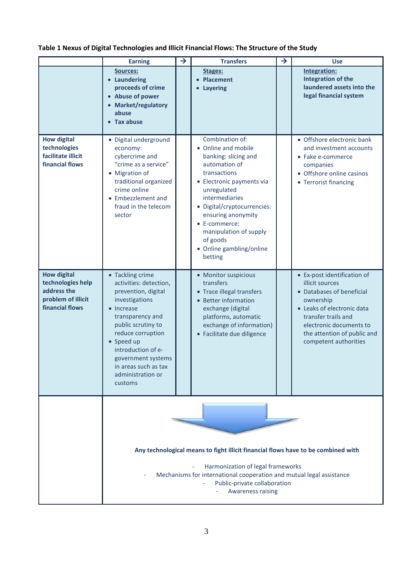# **Table 1 Nexus of Digital Technologies and Illicit Financial Flows: The Structure of the Study**

|                                                                                                 | <b>Earning</b>                                                                                                                                                                                                                                                                     | → | <b>Transfers</b>                                                                                                                                                                                                                                                                                                 | $\rightarrow$ | <b>Use</b>                                                                                                                                                                                                                       |
|-------------------------------------------------------------------------------------------------|------------------------------------------------------------------------------------------------------------------------------------------------------------------------------------------------------------------------------------------------------------------------------------|---|------------------------------------------------------------------------------------------------------------------------------------------------------------------------------------------------------------------------------------------------------------------------------------------------------------------|---------------|----------------------------------------------------------------------------------------------------------------------------------------------------------------------------------------------------------------------------------|
|                                                                                                 | Sources:<br>• Laundering<br>proceeds of crime<br>• Abuse of power<br>• Market/regulatory<br>abuse<br>• Tax abuse                                                                                                                                                                   |   | Stages:<br>Placement<br><b>Layering</b>                                                                                                                                                                                                                                                                          |               | <b>Integration:</b><br><b>Integration of the</b><br>laundered assets into the<br>legal financial system                                                                                                                          |
| <b>How digital</b><br>technologies<br>facilitate illicit<br>financial flows                     | · Digital underground<br>economy:<br>cybercrime and<br>"crime as a service"<br>• Migration of<br>traditional organized<br>crime online<br>• Embezzlement and<br>fraud in the telecom<br>sector                                                                                     |   | Combination of:<br>• Online and mobile<br>banking: slicing and<br>automation of<br>transactions<br>• Electronic payments via<br>unregulated<br>intermediaries<br>· Digital/cryptocurrencies:<br>ensuring anonymity<br>• E-commerce:<br>manipulation of supply<br>of goods<br>• Online gambling/online<br>betting |               | • Offshore electronic bank<br>and investment accounts<br>• Fake e-commerce<br>companies<br>• Offshore online casinos<br>• Terrorist financing                                                                                    |
| <b>How digital</b><br>technologies help<br>address the<br>problem of illicit<br>financial flows | • Tackling crime<br>activities: detection,<br>prevention, digital<br>investigations<br>• Increase<br>transparency and<br>public scrutiny to<br>reduce corruption<br>• Speed up<br>introduction of e-<br>government systems<br>in areas such as tax<br>administration or<br>customs |   | • Monitor suspicious<br>transfers<br>• Trace illegal transfers<br>• Better information<br>exchange (digital<br>platforms, automatic<br>exchange of information)<br>• Facilitate due diligence                                                                                                                    |               | • Ex-post identification of<br>illicit sources<br>• Databases of beneficial<br>ownership<br>• Leaks of electronic data<br>transfer trails and<br>electronic documents to<br>the attention of public and<br>competent authorities |
|                                                                                                 | Any technological means to fight illicit financial flows have to be combined with<br>Harmonization of legal frameworks<br>Mechanisms for international cooperation and mutual legal assistance<br>Public-private collaboration<br><b>Awareness raising</b>                         |   |                                                                                                                                                                                                                                                                                                                  |               |                                                                                                                                                                                                                                  |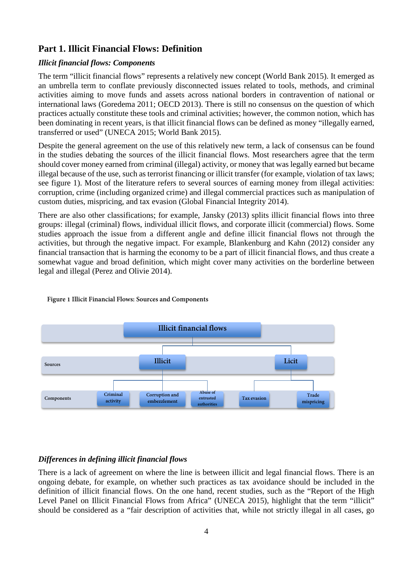# **Part 1. Illicit Financial Flows: Definition**

# *Illicit financial flows: Components*

The term "illicit financial flows" represents a relatively new concept (World Bank 2015). It emerged as an umbrella term to conflate previously disconnected issues related to tools, methods, and criminal activities aiming to move funds and assets across national borders in contravention of national or international laws (Goredema 2011; OECD 2013). There is still no consensus on the question of which practices actually constitute these tools and criminal activities; however, the common notion, which has been dominating in recent years, is that illicit financial flows can be defined as money "illegally earned, transferred or used" (UNECA 2015; World Bank 2015).

Despite the general agreement on the use of this relatively new term, a lack of consensus can be found in the studies debating the sources of the illicit financial flows. Most researchers agree that the term should cover money earned from criminal (illegal) activity, or money that was legally earned but became illegal because of the use, such as terrorist financing or illicit transfer (for example, violation of tax laws; see figure 1). Most of the literature refers to several sources of earning money from illegal activities: corruption, crime (including organized crime) and illegal commercial practices such as manipulation of custom duties, mispricing, and tax evasion (Global Financial Integrity 2014).

There are also other classifications; for example, Jansky (2013) splits illicit financial flows into three groups: illegal (criminal) flows, individual illicit flows, and corporate illicit (commercial) flows. Some studies approach the issue from a different angle and define illicit financial flows not through the activities, but through the negative impact. For example, Blankenburg and Kahn (2012) consider any financial transaction that is harming the economy to be a part of illicit financial flows, and thus create a somewhat vague and broad definition, which might cover many activities on the borderline between legal and illegal (Perez and Olivie 2014).



# **Figure 1 Illicit Financial Flows: Sources and Components**

# *Differences in defining illicit financial flows*

There is a lack of agreement on where the line is between illicit and legal financial flows. There is an ongoing debate, for example, on whether such practices as tax avoidance should be included in the definition of illicit financial flows. On the one hand, recent studies, such as the "Report of the High Level Panel on Illicit Financial Flows from Africa" (UNECA 2015), highlight that the term "illicit" should be considered as a "fair description of activities that, while not strictly illegal in all cases, go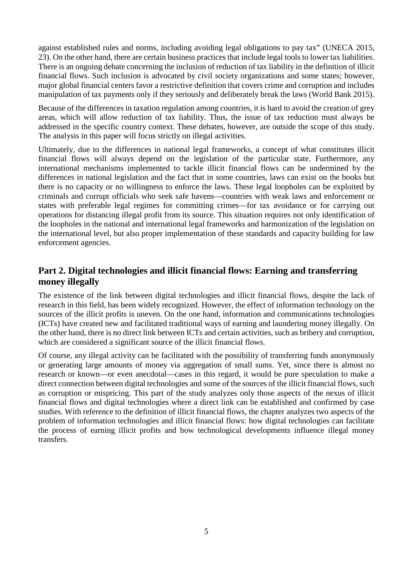against established rules and norms, including avoiding legal obligations to pay tax" (UNECA 2015, 23). On the other hand, there are certain business practices that include legal tools to lower tax liabilities. There is an ongoing debate concerning the inclusion of reduction of tax liability in the definition of illicit financial flows. Such inclusion is advocated by civil society organizations and some states; however, major global financial centers favor a restrictive definition that covers crime and corruption and includes manipulation of tax payments only if they seriously and deliberately break the laws (World Bank 2015).

Because of the differences in taxation regulation among countries, it is hard to avoid the creation of grey areas, which will allow reduction of tax liability. Thus, the issue of tax reduction must always be addressed in the specific country context. These debates, however, are outside the scope of this study. The analysis in this paper will focus strictly on illegal activities.

Ultimately, due to the differences in national legal frameworks, a concept of what constitutes illicit financial flows will always depend on the legislation of the particular state. Furthermore, any international mechanisms implemented to tackle illicit financial flows can be undermined by the differences in national legislation and the fact that in some countries, laws can exist on the books but there is no capacity or no willingness to enforce the laws. These legal loopholes can be exploited by criminals and corrupt officials who seek safe havens—countries with weak laws and enforcement or states with preferable legal regimes for committing crimes—for tax avoidance or for carrying out operations for distancing illegal profit from its source. This situation requires not only identification of the loopholes in the national and international legal frameworks and harmonization of the legislation on the international level, but also proper implementation of these standards and capacity building for law enforcement agencies.

# **Part 2. Digital technologies and illicit financial flows: Earning and transferring money illegally**

The existence of the link between digital technologies and illicit financial flows, despite the lack of research in this field, has been widely recognized. However, the effect of information technology on the sources of the illicit profits is uneven. On the one hand, information and communications technologies (ICTs) have created new and facilitated traditional ways of earning and laundering money illegally. On the other hand, there is no direct link between ICTs and certain activities, such as bribery and corruption, which are considered a significant source of the illicit financial flows.

Of course, any illegal activity can be facilitated with the possibility of transferring funds anonymously or generating large amounts of money via aggregation of small sums. Yet, since there is almost no research or known—or even anecdotal—cases in this regard, it would be pure speculation to make a direct connection between digital technologies and some of the sources of the illicit financial flows, such as corruption or mispricing. This part of the study analyzes only those aspects of the nexus of illicit financial flows and digital technologies where a direct link can be established and confirmed by case studies. With reference to the definition of illicit financial flows, the chapter analyzes two aspects of the problem of information technologies and illicit financial flows: how digital technologies can facilitate the process of earning illicit profits and how technological developments influence illegal money transfers.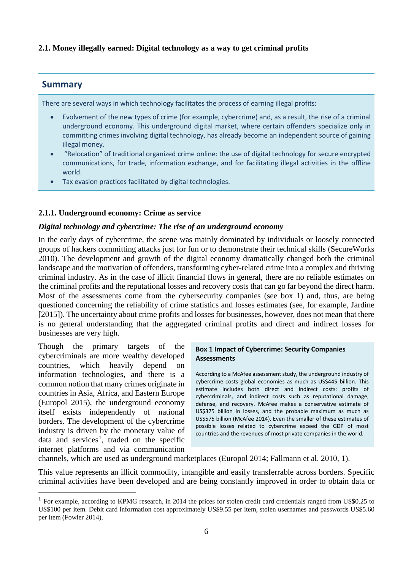# **2.1. Money illegally earned: Digital technology as a way to get criminal profits**

# **Summary**

There are several ways in which technology facilitates the process of earning illegal profits:

- Evolvement of the new types of crime (for example, cybercrime) and, as a result, the rise of a criminal underground economy. This underground digital market, where certain offenders specialize only in committing crimes involving digital technology, has already become an independent source of gaining illegal money.
- "Relocation" of traditional organized crime online: the use of digital technology for secure encrypted communications, for trade, information exchange, and for facilitating illegal activities in the offline world.
- Tax evasion practices facilitated by digital technologies.

# **2.1.1. Underground economy: Crime as service**

# *Digital technology and cybercrime: The rise of an underground economy*

In the early days of cybercrime, the scene was mainly dominated by individuals or loosely connected groups of hackers committing attacks just for fun or to demonstrate their technical skills (SecureWorks 2010). The development and growth of the digital economy dramatically changed both the criminal landscape and the motivation of offenders, transforming cyber-related crime into a complex and thriving criminal industry. As in the case of illicit financial flows in general, there are no reliable estimates on the criminal profits and the reputational losses and recovery costs that can go far beyond the direct harm. Most of the assessments come from the cybersecurity companies (see box 1) and, thus, are being questioned concerning the reliability of crime statistics and losses estimates (see, for example, Jardine [2015]). The uncertainty about crime profits and losses for businesses, however, does not mean that there is no general understanding that the aggregated criminal profits and direct and indirect losses for businesses are very high.

Though the primary targets of the cybercriminals are more wealthy developed countries, which heavily depend on information technologies, and there is a common notion that many crimes originate in countries in Asia, Africa, and Eastern Europe (Europol 2015), the underground economy itself exists independently of national borders. The development of the cybercrime industry is driven by the monetary value of data and services<sup>[1](#page-7-0)</sup>, traded on the specific internet platforms and via communication

 $\overline{a}$ 

#### **Box 1 Impact of Cybercrime: Security Companies Assessments**

According to a McAfee assessment study, the underground industry of cybercrime costs global economies as much as US\$445 billion. This estimate includes both direct and indirect costs: profits of cybercriminals, and indirect costs such as reputational damage, defense, and recovery. McAfee makes a conservative estimate of US\$375 billion in losses, and the probable maximum as much as US\$575 billion (McAfee 2014). Even the smaller of these estimates of possible losses related to cybercrime exceed the GDP of most countries and the revenues of most private companies in the world.

channels, which are used as underground marketplaces (Europol 2014; Fallmann et al. 2010, 1).

This value represents an illicit commodity, intangible and easily transferrable across borders. Specific criminal activities have been developed and are being constantly improved in order to obtain data or

<span id="page-7-0"></span><sup>&</sup>lt;sup>1</sup> For example, according to KPMG research, in 2014 the prices for stolen credit card credentials ranged from US\$0.25 to US\$100 per item. Debit card information cost approximately US\$9.55 per item, stolen usernames and passwords US\$5.60 per item (Fowler 2014).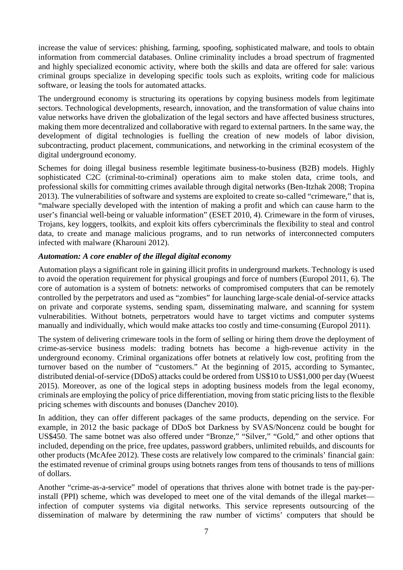increase the value of services: phishing, farming, spoofing, sophisticated malware, and tools to obtain information from commercial databases. Online criminality includes a broad spectrum of fragmented and highly specialized economic activity, where both the skills and data are offered for sale: various criminal groups specialize in developing specific tools such as exploits, writing code for malicious software, or leasing the tools for automated attacks.

The underground economy is structuring its operations by copying business models from legitimate sectors. Technological developments, research, innovation, and the transformation of value chains into value networks have driven the globalization of the legal sectors and have affected business structures, making them more decentralized and collaborative with regard to external partners. In the same way, the development of digital technologies is fuelling the creation of new models of labor division, subcontracting, product placement, communications, and networking in the criminal ecosystem of the digital underground economy.

Schemes for doing illegal business resemble legitimate business-to-business (B2B) models. Highly sophisticated C2C (criminal-to-criminal) operations aim to make stolen data, crime tools, and professional skills for committing crimes available through digital networks (Ben-Itzhak 2008; Tropina 2013). The vulnerabilities of software and systems are exploited to create so-called "crimeware," that is, "malware specially developed with the intention of making a profit and which can cause harm to the user's financial well-being or valuable information" (ESET 2010, 4). Crimeware in the form of viruses, Trojans, key loggers, toolkits, and exploit kits offers cybercriminals the flexibility to steal and control data, to create and manage malicious programs, and to run networks of interconnected computers infected with malware (Kharouni 2012).

# *Automation: A core enabler of the illegal digital economy*

Automation plays a significant role in gaining illicit profits in underground markets. Technology is used to avoid the operation requirement for physical groupings and force of numbers (Europol 2011, 6). The core of automation is a system of botnets: networks of compromised computers that can be remotely controlled by the perpetrators and used as "zombies" for launching large-scale denial-of-service attacks on private and corporate systems, sending spam, disseminating malware, and scanning for system vulnerabilities. Without botnets, perpetrators would have to target victims and computer systems manually and individually, which would make attacks too costly and time-consuming (Europol 2011).

The system of delivering crimeware tools in the form of selling or hiring them drove the deployment of crime-as-service business models: trading botnets has become a high-revenue activity in the underground economy. Criminal organizations offer botnets at relatively low cost, profiting from the turnover based on the number of "customers." At the beginning of 2015, according to Symantec, distributed denial-of-service (DDoS) attacks could be ordered from US\$10 to US\$1,000 per day (Wueest 2015). Moreover, as one of the logical steps in adopting business models from the legal economy, criminals are employing the policy of price differentiation, moving from static pricing lists to the flexible pricing schemes with discounts and bonuses (Danchev 2010).

In addition, they can offer different packages of the same products, depending on the service. For example, in 2012 the basic package of DDoS bot Darkness by SVAS/Noncenz could be bought for US\$450. The same botnet was also offered under "Bronze," "Silver," "Gold," and other options that included, depending on the price, free updates, password grabbers, unlimited rebuilds, and discounts for other products (McAfee 2012). These costs are relatively low compared to the criminals' financial gain: the estimated revenue of criminal groups using botnets ranges from tens of thousands to tens of millions of dollars.

Another "crime-as-a-service" model of operations that thrives alone with botnet trade is the pay-perinstall (PPI) scheme, which was developed to meet one of the vital demands of the illegal market infection of computer systems via digital networks. This service represents outsourcing of the dissemination of malware by determining the raw number of victims' computers that should be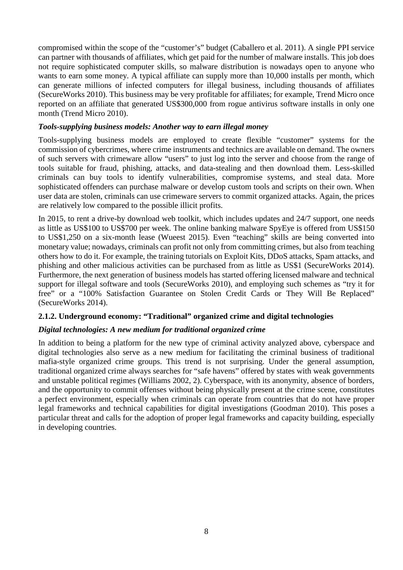compromised within the scope of the "customer's" budget (Caballero et al. 2011). A single PPI service can partner with thousands of affiliates, which get paid for the number of malware installs. This job does not require sophisticated computer skills, so malware distribution is nowadays open to anyone who wants to earn some money. A typical affiliate can supply more than 10,000 installs per month, which can generate millions of infected computers for illegal business, including thousands of affiliates (SecureWorks 2010). This business may be very profitable for affiliates; for example, Trend Micro once reported on an affiliate that generated US\$300,000 from rogue antivirus software installs in only one month (Trend Micro 2010).

# *Tools-supplying business models: Another way to earn illegal money*

Tools-supplying business models are employed to create flexible "customer" systems for the commission of cybercrimes, where crime instruments and technics are available on demand. The owners of such servers with crimeware allow "users" to just log into the server and choose from the range of tools suitable for fraud, phishing, attacks, and data-stealing and then download them. Less-skilled criminals can buy tools to identify vulnerabilities, compromise systems, and steal data. More sophisticated offenders can purchase malware or develop custom tools and scripts on their own. When user data are stolen, criminals can use crimeware servers to commit organized attacks. Again, the prices are relatively low compared to the possible illicit profits.

In 2015, to rent a drive-by download web toolkit, which includes updates and 24/7 support, one needs as little as US\$100 to US\$700 per week. The online banking malware SpyEye is offered from US\$150 to US\$1,250 on a six-month lease (Wueest 2015). Even "teaching" skills are being converted into monetary value; nowadays, criminals can profit not only from committing crimes, but also from teaching others how to do it. For example, the training tutorials on Exploit Kits, DDoS attacks, Spam attacks, and phishing and other malicious activities can be purchased from as little as US\$1 (SecureWorks 2014). Furthermore, the next generation of business models has started offering licensed malware and technical support for illegal software and tools (SecureWorks 2010), and employing such schemes as "try it for free" or a "100% Satisfaction Guarantee on Stolen Credit Cards or They Will Be Replaced" (SecureWorks 2014).

# **2.1.2. Underground economy: "Traditional" organized crime and digital technologies**

# *Digital technologies: A new medium for traditional organized crime*

In addition to being a platform for the new type of criminal activity analyzed above, cyberspace and digital technologies also serve as a new medium for facilitating the criminal business of traditional mafia-style organized crime groups. This trend is not surprising. Under the general assumption, traditional organized crime always searches for "safe havens" offered by states with weak governments and unstable political regimes (Williams 2002, 2). Cyberspace, with its anonymity, absence of borders, and the opportunity to commit offenses without being physically present at the crime scene, constitutes a perfect environment, especially when criminals can operate from countries that do not have proper legal frameworks and technical capabilities for digital investigations (Goodman 2010). This poses a particular threat and calls for the adoption of proper legal frameworks and capacity building, especially in developing countries.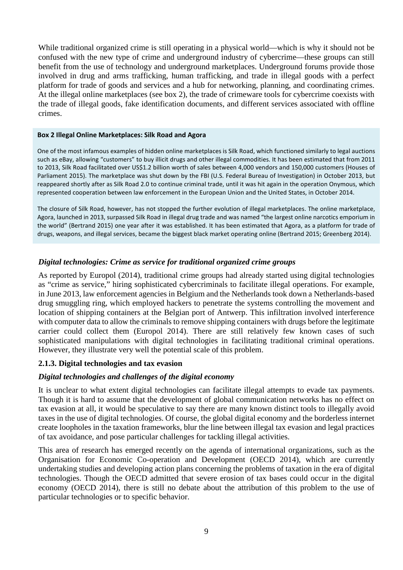While traditional organized crime is still operating in a physical world—which is why it should not be confused with the new type of crime and underground industry of cybercrime—these groups can still benefit from the use of technology and underground marketplaces. Underground forums provide those involved in drug and arms trafficking, human trafficking, and trade in illegal goods with a perfect platform for trade of goods and services and a hub for networking, planning, and coordinating crimes. At the illegal online marketplaces (see box 2), the trade of crimeware tools for cybercrime coexists with the trade of illegal goods, fake identification documents, and different services associated with offline crimes.

#### **Box 2 Illegal Online Marketplaces: Silk Road and Agora**

One of the most infamous examples of hidden online marketplaces is Silk Road, which functioned similarly to legal auctions such as eBay, allowing "customers" to buy illicit drugs and other illegal commodities. It has been estimated that from 2011 to 2013, Silk Road facilitated over US\$1.2 billion worth of sales between 4,000 vendors and 150,000 customers (Houses of Parliament 2015). The marketplace was shut down by the FBI (U.S. Federal Bureau of Investigation) in October 2013, but reappeared shortly after as Silk Road 2.0 to continue criminal trade, until it was hit again in the operation Onymous, which represented cooperation between law enforcement in the European Union and the United States, in October 2014.

The closure of Silk Road, however, has not stopped the further evolution of illegal marketplaces. The online marketplace, Agora, launched in 2013, surpassed Silk Road in illegal drug trade and was named "the largest online narcotics emporium in the world" (Bertrand 2015) one year after it was established. It has been estimated that Agora, as a platform for trade of drugs, weapons, and illegal services, became the biggest black market operating online (Bertrand 2015; Greenberg 2014).

# *Digital technologies: Crime as service for traditional organized crime groups*

As reported by Europol (2014), traditional crime groups had already started using digital technologies as "crime as service," hiring sophisticated cybercriminals to facilitate illegal operations. For example, in June 2013, law enforcement agencies in Belgium and the Netherlands took down a Netherlands-based drug smuggling ring, which employed hackers to penetrate the systems controlling the movement and location of shipping containers at the Belgian port of Antwerp. This infiltration involved interference with computer data to allow the criminals to remove shipping containers with drugs before the legitimate carrier could collect them (Europol 2014). There are still relatively few known cases of such sophisticated manipulations with digital technologies in facilitating traditional criminal operations. However, they illustrate very well the potential scale of this problem.

# **2.1.3. Digital technologies and tax evasion**

# *Digital technologies and challenges of the digital economy*

It is unclear to what extent digital technologies can facilitate illegal attempts to evade tax payments. Though it is hard to assume that the development of global communication networks has no effect on tax evasion at all, it would be speculative to say there are many known distinct tools to illegally avoid taxes in the use of digital technologies. Of course, the global digital economy and the borderless internet create loopholes in the taxation frameworks, blur the line between illegal tax evasion and legal practices of tax avoidance, and pose particular challenges for tackling illegal activities.

This area of research has emerged recently on the agenda of international organizations, such as the Organisation for Economic Co-operation and Development (OECD 2014), which are currently undertaking studies and developing action plans concerning the problems of taxation in the era of digital technologies. Though the OECD admitted that severe erosion of tax bases could occur in the digital economy (OECD 2014), there is still no debate about the attribution of this problem to the use of particular technologies or to specific behavior.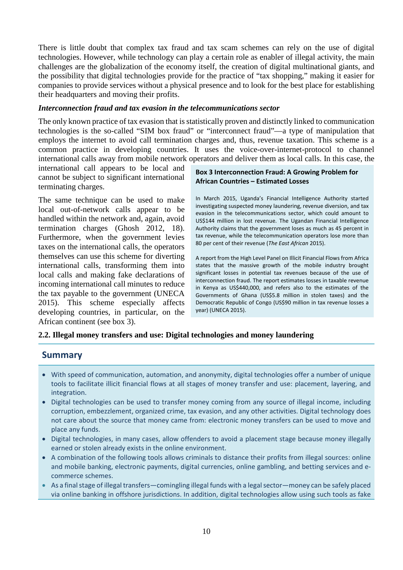There is little doubt that complex tax fraud and tax scam schemes can rely on the use of digital technologies. However, while technology can play a certain role as enabler of illegal activity, the main challenges are the globalization of the economy itself, the creation of digital multinational giants, and the possibility that digital technologies provide for the practice of "tax shopping," making it easier for companies to provide services without a physical presence and to look for the best place for establishing their headquarters and moving their profits.

#### *Interconnection fraud and tax evasion in the telecommunications sector*

The only known practice of tax evasion that is statistically proven and distinctly linked to communication technologies is the so-called "SIM box fraud" or "interconnect fraud"—a type of manipulation that employs the internet to avoid call termination charges and, thus, revenue taxation. This scheme is a common practice in developing countries. It uses the voice-over-internet-protocol to channel international calls away from mobile network operators and deliver them as local calls. In this case, the

international call appears to be local and cannot be subject to significant international terminating charges.

The same technique can be used to make local out-of-network calls appear to be handled within the network and, again, avoid termination charges (Ghosh 2012, 18). Furthermore, when the government levies taxes on the international calls, the operators themselves can use this scheme for diverting international calls, transforming them into local calls and making fake declarations of incoming international call minutes to reduce the tax payable to the government (UNECA 2015). This scheme especially affects developing countries, in particular, on the African continent (see box 3).

### **Box 3 Interconnection Fraud: A Growing Problem for African Countries – Estimated Losses**

In March 2015, Uganda's Financial Intelligence Authority started investigating suspected money laundering, revenue diversion, and tax evasion in the telecommunications sector, which could amount to US\$144 million in lost revenue. The Ugandan Financial Intelligence Authority claims that the government loses as much as 45 percent in tax revenue, while the telecommunication operators lose more than 80 per cent of their revenue (*The East African* 2015).

A report from the High Level Panel on Illicit Financial Flows from Africa states that the massive growth of the mobile industry brought significant losses in potential tax revenues because of the use of interconnection fraud. The report estimates losses in taxable revenue in Kenya as US\$440,000, and refers also to the estimates of the Governments of Ghana (US\$5.8 million in stolen taxes) and the Democratic Republic of Congo (US\$90 million in tax revenue losses a year) (UNECA 2015).

# **2.2. Illegal money transfers and use: Digital technologies and money laundering**

# **Summary**

- With speed of communication, automation, and anonymity, digital technologies offer a number of unique tools to facilitate illicit financial flows at all stages of money transfer and use: placement, layering, and integration.
- Digital technologies can be used to transfer money coming from any source of illegal income, including corruption, embezzlement, organized crime, tax evasion, and any other activities. Digital technology does not care about the source that money came from: electronic money transfers can be used to move and place any funds.
- Digital technologies, in many cases, allow offenders to avoid a placement stage because money illegally earned or stolen already exists in the online environment.
- A combination of the following tools allows criminals to distance their profits from illegal sources: online and mobile banking, electronic payments, digital currencies, online gambling, and betting services and ecommerce schemes.
- As a final stage of illegal transfers—comingling illegal funds with a legal sector—money can be safely placed via online banking in offshore jurisdictions. In addition, digital technologies allow using such tools as fake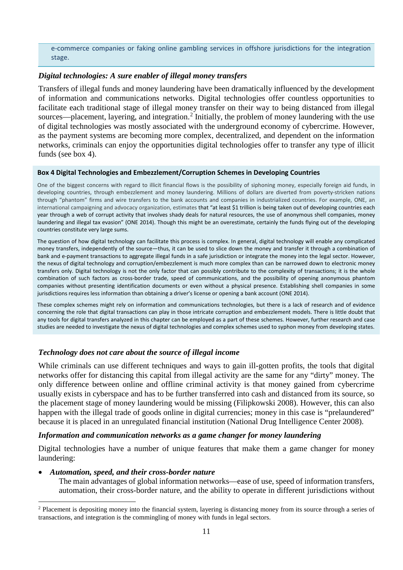e-commerce companies or faking online gambling services in offshore jurisdictions for the integration stage.

# *Digital technologies: A sure enabler of illegal money transfers*

Transfers of illegal funds and money laundering have been dramatically influenced by the development of information and communications networks. Digital technologies offer countless opportunities to facilitate each traditional stage of illegal money transfer on their way to being distanced from illegal sources—placement, layering, and integration.<sup>[2](#page-12-0)</sup> Initially, the problem of money laundering with the use of digital technologies was mostly associated with the underground economy of cybercrime. However, as the payment systems are becoming more complex, decentralized, and dependent on the information networks, criminals can enjoy the opportunities digital technologies offer to transfer any type of illicit funds (see box 4).

#### **Box 4 Digital Technologies and Embezzlement/Corruption Schemes in Developing Countries**

One of the biggest concerns with regard to illicit financial flows is the possibility of siphoning money, especially foreign aid funds, in developing countries, through embezzlement and money laundering. Millions of dollars are diverted from poverty-stricken nations through "phantom" firms and wire transfers to the bank accounts and companies in industrialized countries. For example, ONE, an international campaigning and advocacy organization, estimates that "at least \$1 trillion is being taken out of developing countries each year through a web of corrupt activity that involves shady deals for natural resources, the use of anonymous shell companies, money laundering and illegal tax evasion" (ONE 2014). Though this might be an overestimate, certainly the funds flying out of the developing countries constitute very large sums.

The question of how digital technology can facilitate this process is complex. In general, digital technology will enable any complicated money transfers, independently of the source—thus, it can be used to slice down the money and transfer it through a combination of bank and e-payment transactions to aggregate illegal funds in a safe jurisdiction or integrate the money into the legal sector. However, the nexus of digital technology and corruption/embezzlement is much more complex than can be narrowed down to electronic money transfers only. Digital technology is not the only factor that can possibly contribute to the complexity of transactions; it is the whole combination of such factors as cross-border trade, speed of communications, and the possibility of opening anonymous phantom companies without presenting identification documents or even without a physical presence. Establishing shell companies in some jurisdictions requires less information than obtaining a driver's license or opening a bank account (ONE 2014).

These complex schemes might rely on information and communications technologies, but there is a lack of research and of evidence concerning the role that digital transactions can play in those intricate corruption and embezzlement models. There is little doubt that any tools for digital transfers analyzed in this chapter can be employed as a part of these schemes. However, further research and case studies are needed to investigate the nexus of digital technologies and complex schemes used to syphon money from developing states.

# *Technology does not care about the source of illegal income*

While criminals can use different techniques and ways to gain ill-gotten profits, the tools that digital networks offer for distancing this capital from illegal activity are the same for any "dirty" money. The only difference between online and offline criminal activity is that money gained from cybercrime usually exists in cyberspace and has to be further transferred into cash and distanced from its source, so the placement stage of money laundering would be missing (Filipkowski 2008). However, this can also happen with the illegal trade of goods online in digital currencies; money in this case is "prelaundered" because it is placed in an unregulated financial institution (National Drug Intelligence Center 2008).

#### *Information and communication networks as a game changer for money laundering*

Digital technologies have a number of unique features that make them a game changer for money laundering:

#### • *Automation, speed, and their cross-border nature*

The main advantages of global information networks—ease of use, speed of information transfers, automation, their cross-border nature, and the ability to operate in different jurisdictions without

<span id="page-12-0"></span><sup>&</sup>lt;sup>2</sup> Placement is depositing money into the financial system, layering is distancing money from its source through a series of transactions, and integration is the commingling of money with funds in legal sectors.  $\overline{a}$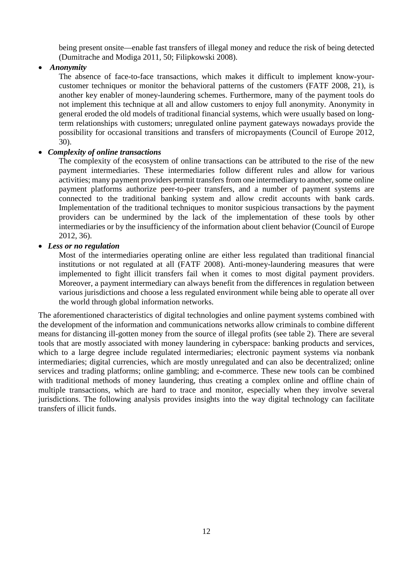being present onsite—enable fast transfers of illegal money and reduce the risk of being detected (Dumitrache and Modiga 2011, 50; Filipkowski 2008).

• *Anonymity*

The absence of face-to-face transactions, which makes it difficult to implement know-yourcustomer techniques or monitor the behavioral patterns of the customers (FATF 2008, 21), is another key enabler of money-laundering schemes. Furthermore, many of the payment tools do not implement this technique at all and allow customers to enjoy full anonymity. Anonymity in general eroded the old models of traditional financial systems, which were usually based on longterm relationships with customers; unregulated online payment gateways nowadays provide the possibility for occasional transitions and transfers of micropayments (Council of Europe 2012, 30).

# • *Complexity of online transactions*

The complexity of the ecosystem of online transactions can be attributed to the rise of the new payment intermediaries. These intermediaries follow different rules and allow for various activities; many payment providers permit transfers from one intermediary to another, some online payment platforms authorize peer-to-peer transfers, and a number of payment systems are connected to the traditional banking system and allow credit accounts with bank cards. Implementation of the traditional techniques to monitor suspicious transactions by the payment providers can be undermined by the lack of the implementation of these tools by other intermediaries or by the insufficiency of the information about client behavior (Council of Europe 2012, 36).

# • *Less or no regulation*

Most of the intermediaries operating online are either less regulated than traditional financial institutions or not regulated at all (FATF 2008). Anti-money-laundering measures that were implemented to fight illicit transfers fail when it comes to most digital payment providers. Moreover, a payment intermediary can always benefit from the differences in regulation between various jurisdictions and choose a less regulated environment while being able to operate all over the world through global information networks.

The aforementioned characteristics of digital technologies and online payment systems combined with the development of the information and communications networks allow criminals to combine different means for distancing ill-gotten money from the source of illegal profits (see table 2). There are several tools that are mostly associated with money laundering in cyberspace: banking products and services, which to a large degree include regulated intermediaries; electronic payment systems via nonbank intermediaries; digital currencies, which are mostly unregulated and can also be decentralized; online services and trading platforms; online gambling; and e-commerce. These new tools can be combined with traditional methods of money laundering, thus creating a complex online and offline chain of multiple transactions, which are hard to trace and monitor, especially when they involve several jurisdictions. The following analysis provides insights into the way digital technology can facilitate transfers of illicit funds.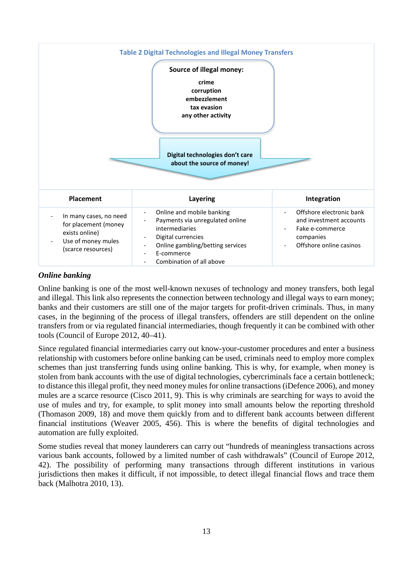

# *Online banking*

Online banking is one of the most well-known nexuses of technology and money transfers, both legal and illegal. This link also represents the connection between technology and illegal ways to earn money; banks and their customers are still one of the major targets for profit-driven criminals. Thus, in many cases, in the beginning of the process of illegal transfers, offenders are still dependent on the online transfers from or via regulated financial intermediaries, though frequently it can be combined with other tools (Council of Europe 2012, 40–41).

Since regulated financial intermediaries carry out know-your-customer procedures and enter a business relationship with customers before online banking can be used, criminals need to employ more complex schemes than just transferring funds using online banking. This is why, for example, when money is stolen from bank accounts with the use of digital technologies, cybercriminals face a certain bottleneck; to distance this illegal profit, they need money mules for online transactions (iDefence 2006), and money mules are a scarce resource (Cisco 2011, 9). This is why criminals are searching for ways to avoid the use of mules and try, for example, to split money into small amounts below the reporting threshold (Thomason 2009, 18) and move them quickly from and to different bank accounts between different financial institutions (Weaver 2005, 456). This is where the benefits of digital technologies and automation are fully exploited.

Some studies reveal that money launderers can carry out "hundreds of meaningless transactions across various bank accounts, followed by a limited number of cash withdrawals" (Council of Europe 2012, 42). The possibility of performing many transactions through different institutions in various jurisdictions then makes it difficult, if not impossible, to detect illegal financial flows and trace them back (Malhotra 2010, 13).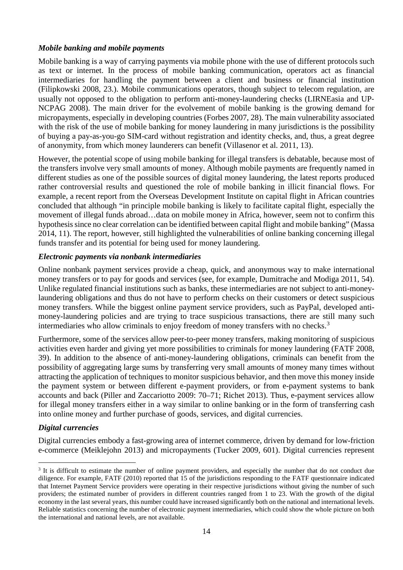# *Mobile banking and mobile payments*

Mobile banking is a way of carrying payments via mobile phone with the use of different protocols such as text or internet. In the process of mobile banking communication, operators act as financial intermediaries for handling the payment between a client and business or financial institution (Filipkowski 2008, 23.). Mobile communications operators, though subject to telecom regulation, are usually not opposed to the obligation to perform anti-money-laundering checks (LIRNEasia and UP‐ NCPAG 2008). The main driver for the evolvement of mobile banking is the growing demand for micropayments, especially in developing countries (Forbes 2007, 28). The main vulnerability associated with the risk of the use of mobile banking for money laundering in many jurisdictions is the possibility of buying a pay-as-you-go SIM-card without registration and identity checks, and, thus, a great degree of anonymity, from which money launderers can benefit (Villasenor et al. 2011, 13).

However, the potential scope of using mobile banking for illegal transfers is debatable, because most of the transfers involve very small amounts of money. Although mobile payments are frequently named in different studies as one of the possible sources of digital money laundering, the latest reports produced rather controversial results and questioned the role of mobile banking in illicit financial flows. For example, a recent report from the Overseas Development Institute on capital flight in African countries concluded that although "in principle mobile banking is likely to facilitate capital flight, especially the movement of illegal funds abroad…data on mobile money in Africa, however, seem not to confirm this hypothesis since no clear correlation can be identified between capital flight and mobile banking" (Massa 2014, 11). The report, however, still highlighted the vulnerabilities of online banking concerning illegal funds transfer and its potential for being used for money laundering.

# *Electronic payments via nonbank intermediaries*

Online nonbank payment services provide a cheap, quick, and anonymous way to make international money transfers or to pay for goods and services (see, for example, Dumitrache and Modiga 2011, 54). Unlike regulated financial institutions such as banks, these intermediaries are not subject to anti-moneylaundering obligations and thus do not have to perform checks on their customers or detect suspicious money transfers. While the biggest online payment service providers, such as PayPal, developed antimoney-laundering policies and are trying to trace suspicious transactions, there are still many such intermediaries who allow criminals to enjoy freedom of money transfers with no checks.<sup>[3](#page-15-0)</sup>

Furthermore, some of the services allow peer-to-peer money transfers, making monitoring of suspicious activities even harder and giving yet more possibilities to criminals for money laundering (FATF 2008, 39). In addition to the absence of anti-money-laundering obligations, criminals can benefit from the possibility of aggregating large sums by transferring very small amounts of money many times without attracting the application of techniques to monitor suspicious behavior, and then move this money inside the payment system or between different e-payment providers, or from e-payment systems to bank accounts and back (Piller and Zaccariotto 2009: 70–71; Richet 2013). Thus, e-payment services allow for illegal money transfers either in a way similar to online banking or in the form of transferring cash into online money and further purchase of goods, services, and digital currencies.

# *Digital currencies*

 $\overline{a}$ 

Digital currencies embody a fast-growing area of internet commerce, driven by demand for low-friction e-commerce (Meiklejohn 2013) and micropayments (Tucker 2009, 601). Digital currencies represent

<span id="page-15-0"></span><sup>&</sup>lt;sup>3</sup> It is difficult to estimate the number of online payment providers, and especially the number that do not conduct due diligence. For example, FATF (2010) reported that 15 of the jurisdictions responding to the FATF questionnaire indicated that Internet Payment Service providers were operating in their respective jurisdictions without giving the number of such providers; the estimated number of providers in different countries ranged from 1 to 23. With the growth of the digital economy in the last several years, this number could have increased significantly both on the national and international levels. Reliable statistics concerning the number of electronic payment intermediaries, which could show the whole picture on both the international and national levels, are not available.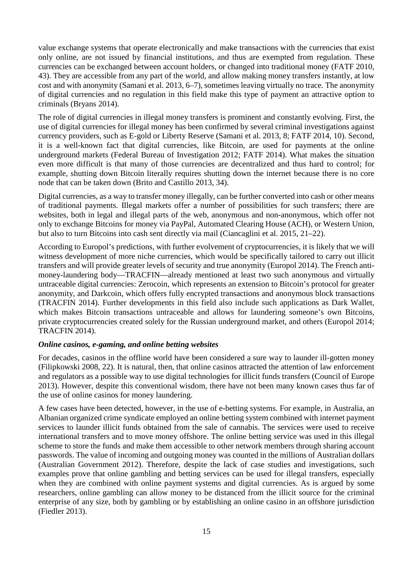value exchange systems that operate electronically and make transactions with the currencies that exist only online, are not issued by financial institutions, and thus are exempted from regulation. These currencies can be exchanged between account holders, or changed into traditional money (FATF 2010, 43). They are accessible from any part of the world, and allow making money transfers instantly, at low cost and with anonymity (Samani et al. 2013, 6–7), sometimes leaving virtually no trace. The anonymity of digital currencies and no regulation in this field make this type of payment an attractive option to criminals (Bryans 2014).

The role of digital currencies in illegal money transfers is prominent and constantly evolving. First, the use of digital currencies for illegal money has been confirmed by several criminal investigations against currency providers, such as E-gold or Liberty Reserve (Samani et al. 2013, 8; FATF 2014, 10). Second, it is a well-known fact that digital currencies, like Bitcoin, are used for payments at the online underground markets (Federal Bureau of Investigation 2012; FATF 2014). What makes the situation even more difficult is that many of those currencies are decentralized and thus hard to control; for example, shutting down Bitcoin literally requires shutting down the internet because there is no core node that can be taken down (Brito and Castillo 2013, 34).

Digital currencies, as a way to transfer money illegally, can be further converted into cash or other means of traditional payments. Illegal markets offer a number of possibilities for such transfers; there are websites, both in legal and illegal parts of the web, anonymous and non-anonymous, which offer not only to exchange Bitcoins for money via PayPal, Automated Clearing House (ACH), or Western Union, but also to turn Bitcoins into cash sent directly via mail (Ciancaglini et al. 2015, 21–22).

According to Europol's predictions, with further evolvement of cryptocurrencies, it is likely that we will witness development of more niche currencies, which would be specifically tailored to carry out illicit transfers and will provide greater levels of security and true anonymity (Europol 2014). The French antimoney-laundering body—TRACFIN—already mentioned at least two such anonymous and virtually untraceable digital currencies: Zerocoin, which represents an extension to Bitcoin's protocol for greater anonymity, and Darkcoin, which offers fully encrypted transactions and anonymous block transactions (TRACFIN 2014). Further developments in this field also include such applications as Dark Wallet, which makes Bitcoin transactions untraceable and allows for laundering someone's own Bitcoins, private cryptocurrencies created solely for the Russian underground market, and others (Europol 2014; TRACFIN 2014).

# *Online casinos, e-gaming, and online betting websites*

For decades, casinos in the offline world have been considered a sure way to launder ill-gotten money (Filipkowski 2008, 22). It is natural, then, that online casinos attracted the attention of law enforcement and regulators as a possible way to use digital technologies for illicit funds transfers (Council of Europe 2013). However, despite this conventional wisdom, there have not been many known cases thus far of the use of online casinos for money laundering.

A few cases have been detected, however, in the use of e-betting systems. For example, in Australia, an Albanian organized crime syndicate employed an online betting system combined with internet payment services to launder illicit funds obtained from the sale of cannabis. The services were used to receive international transfers and to move money offshore. The online betting service was used in this illegal scheme to store the funds and make them accessible to other network members through sharing account passwords. The value of incoming and outgoing money was counted in the millions of Australian dollars (Australian Government 2012). Therefore, despite the lack of case studies and investigations, such examples prove that online gambling and betting services can be used for illegal transfers, especially when they are combined with online payment systems and digital currencies. As is argued by some researchers, online gambling can allow money to be distanced from the illicit source for the criminal enterprise of any size, both by gambling or by establishing an online casino in an offshore jurisdiction (Fiedler 2013).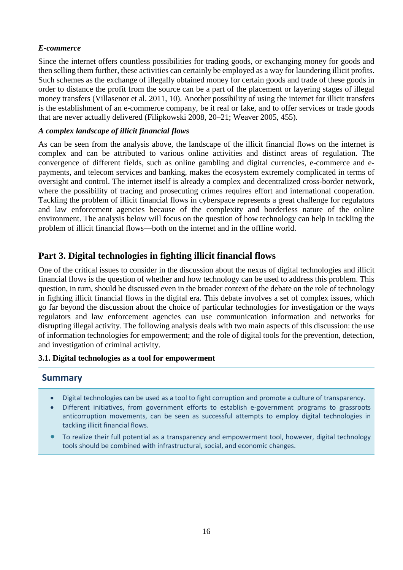# *E-commerce*

Since the internet offers countless possibilities for trading goods, or exchanging money for goods and then selling them further, these activities can certainly be employed as a way for laundering illicit profits. Such schemes as the exchange of illegally obtained money for certain goods and trade of these goods in order to distance the profit from the source can be a part of the placement or layering stages of illegal money transfers (Villasenor et al. 2011, 10). Another possibility of using the internet for illicit transfers is the establishment of an e-commerce company, be it real or fake, and to offer services or trade goods that are never actually delivered (Filipkowski 2008, 20–21; Weaver 2005, 455).

# *A complex landscape of illicit financial flows*

As can be seen from the analysis above, the landscape of the illicit financial flows on the internet is complex and can be attributed to various online activities and distinct areas of regulation. The convergence of different fields, such as online gambling and digital currencies, e-commerce and epayments, and telecom services and banking, makes the ecosystem extremely complicated in terms of oversight and control. The internet itself is already a complex and decentralized cross-border network, where the possibility of tracing and prosecuting crimes requires effort and international cooperation. Tackling the problem of illicit financial flows in cyberspace represents a great challenge for regulators and law enforcement agencies because of the complexity and borderless nature of the online environment. The analysis below will focus on the question of how technology can help in tackling the problem of illicit financial flows—both on the internet and in the offline world.

# **Part 3. Digital technologies in fighting illicit financial flows**

One of the critical issues to consider in the discussion about the nexus of digital technologies and illicit financial flows is the question of whether and how technology can be used to address this problem. This question, in turn, should be discussed even in the broader context of the debate on the role of technology in fighting illicit financial flows in the digital era. This debate involves a set of complex issues, which go far beyond the discussion about the choice of particular technologies for investigation or the ways regulators and law enforcement agencies can use communication information and networks for disrupting illegal activity. The following analysis deals with two main aspects of this discussion: the use of information technologies for empowerment; and the role of digital tools for the prevention, detection, and investigation of criminal activity.

# **3.1. Digital technologies as a tool for empowerment**

# **Summary**

- Digital technologies can be used as a tool to fight corruption and promote a culture of transparency.
- Different initiatives, from government efforts to establish e-government programs to grassroots anticorruption movements, can be seen as successful attempts to employ digital technologies in tackling illicit financial flows.
- To realize their full potential as a transparency and empowerment tool, however, digital technology tools should be combined with infrastructural, social, and economic changes.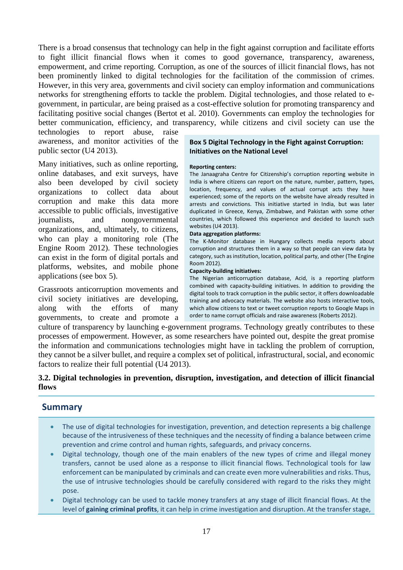There is a broad consensus that technology can help in the fight against corruption and facilitate efforts to fight illicit financial flows when it comes to good governance, transparency, awareness, empowerment, and crime reporting. Corruption, as one of the sources of illicit financial flows, has not been prominently linked to digital technologies for the facilitation of the commission of crimes. However, in this very area, governments and civil society can employ information and communications networks for strengthening efforts to tackle the problem. Digital technologies, and those related to egovernment, in particular, are being praised as a cost-effective solution for promoting transparency and facilitating positive social changes (Bertot et al. 2010). Governments can employ the technologies for better communication, efficiency, and transparency, while citizens and civil society can use the

technologies to report abuse, raise awareness, and monitor activities of the public sector (U4 2013).

Many initiatives, such as online reporting, online databases, and exit surveys, have also been developed by civil society organizations to collect data about corruption and make this data more accessible to public officials, investigative journalists, and nongovernmental organizations, and, ultimately, to citizens, who can play a monitoring role (The Engine Room 2012). These technologies can exist in the form of digital portals and platforms, websites, and mobile phone applications (see box 5).

Grassroots anticorruption movements and civil society initiatives are developing, along with the efforts of many governments, to create and promote a

#### **Box 5 Digital Technology in the Fight against Corruption: Initiatives on the National Level**

#### **Reporting centers:**

The Janaagraha Centre for Citizenship's corruption reporting website in India is where citizens can report on the nature, number, pattern, types, location, frequency, and values of actual corrupt acts they have experienced; some of the reports on the website have already resulted in arrests and convictions. This initiative started in India, but was later duplicated in Greece, Kenya, Zimbabwe, and Pakistan with some other countries, which followed this experience and decided to launch such websites (U4 2013).

#### **Data aggregation platforms:**

The K-Monitor database in Hungary collects media reports about corruption and structures them in a way so that people can view data by category, such as institution, location, political party, and other (The Engine Room 2012).

#### **Capacity-building initiatives:**

The Nigerian anticorruption database, Acid, is a reporting platform combined with capacity-building initiatives. In addition to providing the digital tools to track corruption in the public sector, it offers downloadable training and advocacy materials. The website also hosts interactive tools, which allow citizens to text or tweet corruption reports to Google Maps in order to name corrupt officials and raise awareness (Roberts 2012).

culture of transparency by launching e-government programs. Technology greatly contributes to these processes of empowerment. However, as some researchers have pointed out, despite the great promise the information and communications technologies might have in tackling the problem of corruption, they cannot be a silver bullet, and require a complex set of political, infrastructural, social, and economic factors to realize their full potential (U4 2013).

# **3.2. Digital technologies in prevention, disruption, investigation, and detection of illicit financial flows**

# **Summary**

- The use of digital technologies for investigation, prevention, and detection represents a big challenge because of the intrusiveness of these techniques and the necessity of finding a balance between crime prevention and crime control and human rights, safeguards, and privacy concerns.
- Digital technology, though one of the main enablers of the new types of crime and illegal money transfers, cannot be used alone as a response to illicit financial flows. Technological tools for law enforcement can be manipulated by criminals and can create even more vulnerabilities and risks. Thus, the use of intrusive technologies should be carefully considered with regard to the risks they might pose.
- Digital technology can be used to tackle money transfers at any stage of illicit financial flows. At the level of **gaining criminal profits**, it can help in crime investigation and disruption. At the transfer stage,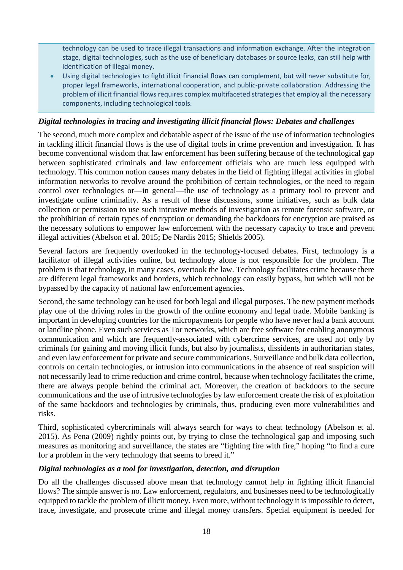technology can be used to trace illegal transactions and information exchange. After the integration stage, digital technologies, such as the use of beneficiary databases or source leaks, can still help with identification of illegal money.

• Using digital technologies to fight illicit financial flows can complement, but will never substitute for, proper legal frameworks, international cooperation, and public-private collaboration. Addressing the problem of illicit financial flows requires complex multifaceted strategies that employ all the necessary components, including technological tools.

# *Digital technologies in tracing and investigating illicit financial flows: Debates and challenges*

The second, much more complex and debatable aspect of the issue of the use of information technologies in tackling illicit financial flows is the use of digital tools in crime prevention and investigation. It has become conventional wisdom that law enforcement has been suffering because of the technological gap between sophisticated criminals and law enforcement officials who are much less equipped with technology. This common notion causes many debates in the field of fighting illegal activities in global information networks to revolve around the prohibition of certain technologies, or the need to regain control over technologies or—in general—the use of technology as a primary tool to prevent and investigate online criminality. As a result of these discussions, some initiatives, such as bulk data collection or permission to use such intrusive methods of investigation as remote forensic software, or the prohibition of certain types of encryption or demanding the backdoors for encryption are praised as the necessary solutions to empower law enforcement with the necessary capacity to trace and prevent illegal activities (Abelson et al. 2015; De Nardis 2015; Shields 2005).

Several factors are frequently overlooked in the technology-focused debates. First, technology is a facilitator of illegal activities online, but technology alone is not responsible for the problem. The problem is that technology, in many cases, overtook the law. Technology facilitates crime because there are different legal frameworks and borders, which technology can easily bypass, but which will not be bypassed by the capacity of national law enforcement agencies.

Second, the same technology can be used for both legal and illegal purposes. The new payment methods play one of the driving roles in the growth of the online economy and legal trade. Mobile banking is important in developing countries for the micropayments for people who have never had a bank account or landline phone. Even such services as Tor networks, which are free software for enabling anonymous communication and which are frequently-associated with cybercrime services, are used not only by criminals for gaining and moving illicit funds, but also by journalists, dissidents in authoritarian states, and even law enforcement for private and secure communications. Surveillance and bulk data collection, controls on certain technologies, or intrusion into communications in the absence of real suspicion will not necessarily lead to crime reduction and crime control, because when technology facilitates the crime, there are always people behind the criminal act. Moreover, the creation of backdoors to the secure communications and the use of intrusive technologies by law enforcement create the risk of exploitation of the same backdoors and technologies by criminals, thus, producing even more vulnerabilities and risks.

Third, sophisticated cybercriminals will always search for ways to cheat technology (Abelson et al. 2015). As Pena (2009) rightly points out, by trying to close the technological gap and imposing such measures as monitoring and surveillance, the states are "fighting fire with fire," hoping "to find a cure for a problem in the very technology that seems to breed it."

# *Digital technologies as a tool for investigation, detection, and disruption*

Do all the challenges discussed above mean that technology cannot help in fighting illicit financial flows? The simple answer is no. Law enforcement, regulators, and businesses need to be technologically equipped to tackle the problem of illicit money. Even more, without technology it is impossible to detect, trace, investigate, and prosecute crime and illegal money transfers. Special equipment is needed for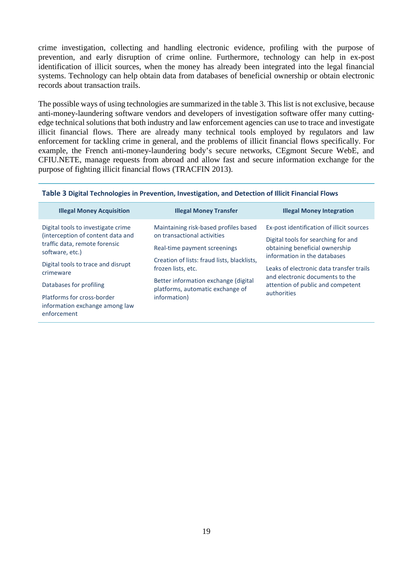crime investigation, collecting and handling electronic evidence, profiling with the purpose of prevention, and early disruption of crime online. Furthermore, technology can help in ex-post identification of illicit sources, when the money has already been integrated into the legal financial systems. Technology can help obtain data from databases of beneficial ownership or obtain electronic records about transaction trails.

The possible ways of using technologies are summarized in the table 3. This list is not exclusive, because anti-money-laundering software vendors and developers of investigation software offer many cuttingedge technical solutions that both industry and law enforcement agencies can use to trace and investigate illicit financial flows. There are already many technical tools employed by regulators and law enforcement for tackling crime in general, and the problems of illicit financial flows specifically. For example, the French anti-money-laundering body's secure networks, CEgmont Secure WebE, and CFIU.NETE, manage requests from abroad and allow fast and secure information exchange for the purpose of fighting illicit financial flows (TRACFIN 2013).

| <b>Illegal Money Acquisition</b>                                                                                            | <b>Illegal Money Transfer</b>                                                                        | <b>Illegal Money Integration</b>                                                                                   |  |
|-----------------------------------------------------------------------------------------------------------------------------|------------------------------------------------------------------------------------------------------|--------------------------------------------------------------------------------------------------------------------|--|
| Digital tools to investigate crime<br>(interception of content data and<br>traffic data, remote forensic<br>software, etc.) | Maintaining risk-based profiles based<br>on transactional activities<br>Real-time payment screenings | Ex-post identification of illicit sources<br>Digital tools for searching for and<br>obtaining beneficial ownership |  |
| Digital tools to trace and disrupt<br>crimeware                                                                             | Creation of lists: fraud lists, blacklists,<br>frozen lists, etc.                                    | information in the databases<br>Leaks of electronic data transfer trails<br>and electronic documents to the        |  |
| Databases for profiling                                                                                                     | Better information exchange (digital<br>platforms, automatic exchange of                             | attention of public and competent<br>authorities                                                                   |  |
| Platforms for cross-border<br>information exchange among law<br>enforcement                                                 | information)                                                                                         |                                                                                                                    |  |

#### **Table 3 Digital Technologies in Prevention, Investigation, and Detection of Illicit Financial Flows**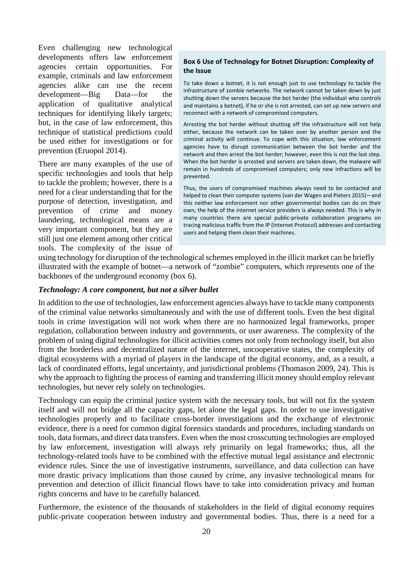Even challenging new technological developments offers law enforcement agencies certain opportunities. For example, criminals and law enforcement agencies alike can use the recent development—Big Data—for the application of qualitative analytical techniques for identifying likely targets; but, in the case of law enforcement, this technique of statistical predictions could be used either for investigations or for prevention (Eruopol 2014).

There are many examples of the use of specific technologies and tools that help to tackle the problem; however, there is a need for a clear understanding that for the purpose of detection, investigation, and prevention of crime and money laundering, technological means are a very important component, but they are still just one element among other critical tools. The complexity of the issue of

#### **Box 6 Use of Technology for Botnet Disruption: Complexity of the Issue**

To take down a botnet, it is not enough just to use technology to tackle the infrastructure of zombie networks. The network cannot be taken down by just shutting down the servers because the bot herder (the individual who controls and maintains a botnet), if he or she is not arrested, can set up new servers and reconnect with a network of compromised computers.

Arresting the bot herder without shutting off the infrastructure will not help either, because the network can be taken over by another person and the criminal activity will continue. To cope with this situation, law enforcement agencies have to disrupt communication between the bot herder and the network and then arrest the bot herder; however, even this is not the last step. When the bot herder is arrested and servers are taken down, the malware will remain in hundreds of compromised computers; only new infractions will be prevented.

Thus, the users of compromised machines always need to be contacted and helped to clean their computer systems (van der Wagen and Pieters 2015)—and this neither law enforcement nor other governmental bodies can do on their own; the help of the internet service providers is always needed. This is why in many countries there are special public-private collaboration programs on tracing malicious traffic from the IP (Internet Protocol) addresses and contacting users and helping them clean their machines.

using technology for disruption of the technological schemes employed in the illicit market can be briefly illustrated with the example of botnet—a network of "zombie" computers, which represents one of the backbones of the underground economy (box 6).

# *Technology: A core component, but not a silver bullet*

In addition to the use of technologies, law enforcement agencies always have to tackle many components of the criminal value networks simultaneously and with the use of different tools. Even the best digital tools in crime investigation will not work when there are no harmonized legal frameworks, proper regulation, collaboration between industry and governments, or user awareness. The complexity of the problem of using digital technologies for illicit activities comes not only from technology itself, but also from the borderless and decentralized nature of the internet, uncooperative states, the complexity of digital ecosystems with a myriad of players in the landscape of the digital economy, and, as a result, a lack of coordinated efforts, legal uncertainty, and jurisdictional problems (Thomason 2009, 24). This is why the approach to fighting the process of earning and transferring illicit money should employ relevant technologies, but never rely solely on technologies.

Technology can equip the criminal justice system with the necessary tools, but will not fix the system itself and will not bridge all the capacity gaps, let alone the legal gaps. In order to use investigative technologies properly and to facilitate cross-border investigations and the exchange of electronic evidence, there is a need for common digital forensics standards and procedures, including standards on tools, data formats, and direct data transfers. Even when the most crosscutting technologies are employed by law enforcement, investigation will always rely primarily on legal frameworks; thus, all the technology-related tools have to be combined with the effective mutual legal assistance and electronic evidence rules. Since the use of investigative instruments, surveillance, and data collection can have more drastic privacy implications than those caused by crime, any invasive technological means for prevention and detection of illicit financial flows have to take into consideration privacy and human rights concerns and have to be carefully balanced.

Furthermore, the existence of the thousands of stakeholders in the field of digital economy requires public-private cooperation between industry and governmental bodies. Thus, there is a need for a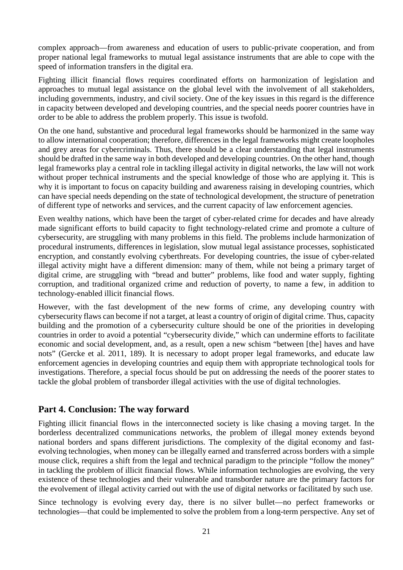complex approach—from awareness and education of users to public-private cooperation, and from proper national legal frameworks to mutual legal assistance instruments that are able to cope with the speed of information transfers in the digital era.

Fighting illicit financial flows requires coordinated efforts on harmonization of legislation and approaches to mutual legal assistance on the global level with the involvement of all stakeholders, including governments, industry, and civil society. One of the key issues in this regard is the difference in capacity between developed and developing countries, and the special needs poorer countries have in order to be able to address the problem properly. This issue is twofold.

On the one hand, substantive and procedural legal frameworks should be harmonized in the same way to allow international cooperation; therefore, differences in the legal frameworks might create loopholes and grey areas for cybercriminals. Thus, there should be a clear understanding that legal instruments should be drafted in the same way in both developed and developing countries. On the other hand, though legal frameworks play a central role in tackling illegal activity in digital networks, the law will not work without proper technical instruments and the special knowledge of those who are applying it. This is why it is important to focus on capacity building and awareness raising in developing countries, which can have special needs depending on the state of technological development, the structure of penetration of different type of networks and services, and the current capacity of law enforcement agencies.

Even wealthy nations, which have been the target of cyber-related crime for decades and have already made significant efforts to build capacity to fight technology-related crime and promote a culture of cybersecurity, are struggling with many problems in this field. The problems include harmonization of procedural instruments, differences in legislation, slow mutual legal assistance processes, sophisticated encryption, and constantly evolving cyberthreats. For developing countries, the issue of cyber-related illegal activity might have a different dimension: many of them, while not being a primary target of digital crime, are struggling with "bread and butter" problems, like food and water supply, fighting corruption, and traditional organized crime and reduction of poverty, to name a few, in addition to technology-enabled illicit financial flows.

However, with the fast development of the new forms of crime, any developing country with cybersecurity flaws can become if not a target, at least a country of origin of digital crime. Thus, capacity building and the promotion of a cybersecurity culture should be one of the priorities in developing countries in order to avoid a potential "cybersecurity divide," which can undermine efforts to facilitate economic and social development, and, as a result, open a new schism "between [the] haves and have nots" (Gercke et al. 2011, 189). It is necessary to adopt proper legal frameworks, and educate law enforcement agencies in developing countries and equip them with appropriate technological tools for investigations. Therefore, a special focus should be put on addressing the needs of the poorer states to tackle the global problem of transborder illegal activities with the use of digital technologies.

# **Part 4. Conclusion: The way forward**

Fighting illicit financial flows in the interconnected society is like chasing a moving target. In the borderless decentralized communications networks, the problem of illegal money extends beyond national borders and spans different jurisdictions. The complexity of the digital economy and fastevolving technologies, when money can be illegally earned and transferred across borders with a simple mouse click, requires a shift from the legal and technical paradigm to the principle "follow the money" in tackling the problem of illicit financial flows. While information technologies are evolving, the very existence of these technologies and their vulnerable and transborder nature are the primary factors for the evolvement of illegal activity carried out with the use of digital networks or facilitated by such use.

Since technology is evolving every day, there is no silver bullet—no perfect frameworks or technologies—that could be implemented to solve the problem from a long-term perspective. Any set of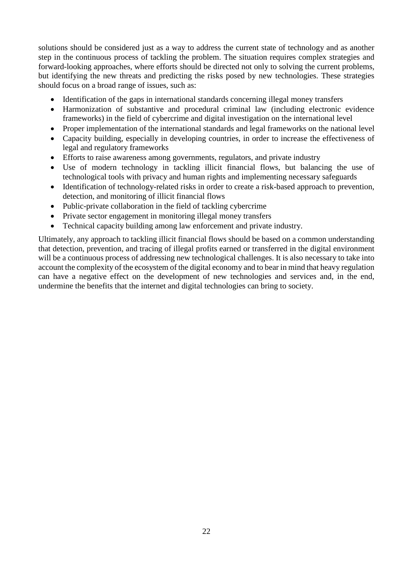solutions should be considered just as a way to address the current state of technology and as another step in the continuous process of tackling the problem. The situation requires complex strategies and forward-looking approaches, where efforts should be directed not only to solving the current problems, but identifying the new threats and predicting the risks posed by new technologies. These strategies should focus on a broad range of issues, such as:

- Identification of the gaps in international standards concerning illegal money transfers
- Harmonization of substantive and procedural criminal law (including electronic evidence frameworks) in the field of cybercrime and digital investigation on the international level
- Proper implementation of the international standards and legal frameworks on the national level
- Capacity building, especially in developing countries, in order to increase the effectiveness of legal and regulatory frameworks
- Efforts to raise awareness among governments, regulators, and private industry
- Use of modern technology in tackling illicit financial flows, but balancing the use of technological tools with privacy and human rights and implementing necessary safeguards
- Identification of technology-related risks in order to create a risk-based approach to prevention, detection, and monitoring of illicit financial flows
- Public-private collaboration in the field of tackling cybercrime
- Private sector engagement in monitoring illegal money transfers
- Technical capacity building among law enforcement and private industry.

Ultimately, any approach to tackling illicit financial flows should be based on a common understanding that detection, prevention, and tracing of illegal profits earned or transferred in the digital environment will be a continuous process of addressing new technological challenges. It is also necessary to take into account the complexity of the ecosystem of the digital economy and to bear in mind that heavy regulation can have a negative effect on the development of new technologies and services and, in the end, undermine the benefits that the internet and digital technologies can bring to society.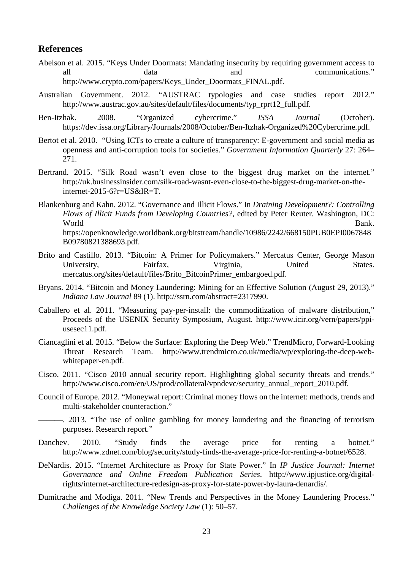# **References**

- Abelson et al. 2015. "Keys Under Doormats: Mandating insecurity by requiring government access to all data and communications." [http://www.crypto.com/papers/Keys\\_Under\\_Doormats\\_FINAL.pdf.](http://www.crypto.com/papers/Keys_Under_Doormats_FINAL.pdf)
- Australian Government. 2012. "AUSTRAC typologies and case studies report 2012." http://www.austrac.gov.au/sites/default/files/documents/typ\_rprt12\_full.pdf.
- Ben-Itzhak. 2008. "Organized cybercrime." *ISSA Journal* (October). [https://dev.issa.org/Library/Journals/2008/October/Ben-Itzhak-Organized%20Cybercrime.pdf.](https://dev.issa.org/Library/Journals/2008/October/Ben-Itzhak-Organized%20Cybercrime.pdf)
- Bertot et al. 2010. "Using ICTs to create a culture of transparency: E-government and social media as openness and anti-corruption tools for societies." *Government Information Quarterly* 27: 264– 271.
- Bertrand. 2015. "Silk Road wasn't even close to the biggest drug market on the internet." http://uk.businessinsider.com/silk-road-wasnt-even-close-to-the-biggest-drug-market-on-theinternet-2015-6?r=US&IR=T.
- Blankenburg and Kahn. 2012. "Governance and Illicit Flows." In *Draining Development?: Controlling Flows of Illicit Funds from Developing Countries?*, edited by Peter Reuter. Washington, DC: World Bank. https://openknowledge.worldbank.org/bitstream/handle/10986/2242/668150PUB0EPI0067848 B09780821388693.pdf.
- Brito and Castillo. 2013. "Bitcoin: A Primer for Policymakers." Mercatus Center, George Mason University, Fairfax, Virginia, United States. mercatus.org/sites/default/files/Brito\_BitcoinPrimer\_embargoed.pdf.
- Bryans. 2014. "Bitcoin and Money Laundering: Mining for an Effective Solution (August 29, 2013)." *Indiana Law Journal* 89 (1). http://ssrn.com/abstract=2317990.
- Caballero et al. 2011. "Measuring pay-per-install: the commoditization of malware distribution," Proceeds of the USENIX Security Symposium, August. http://www.icir.org/vern/papers/ppiusesec11.pdf.
- Ciancaglini et al. 2015. "Below the Surface: Exploring the Deep Web." TrendMicro, Forward-Looking Threat Research Team. http://www.trendmicro.co.uk/media/wp/exploring-the-deep-webwhitepaper-en.pdf.
- Cisco. 2011. "Cisco 2010 annual security report. Highlighting global security threats and trends." http://www.cisco.com/en/US/prod/collateral/vpndevc/security\_annual\_report\_2010.pdf.
- Council of Europe. 2012. "Moneywal report: Criminal money flows on the internet: methods, trends and multi-stakeholder counteraction."
- ———. 2013. "The use of online gambling for money laundering and the financing of terrorism purposes. Research report."
- Danchev. 2010. "Study finds the average price for renting a botnet." http://www.zdnet.com/blog/security/study-finds-the-average-price-for-renting-a-botnet/6528.
- DeNardis. 2015. "Internet Architecture as Proxy for State Power." In *IP Justice Journal: Internet Governance and Online Freedom Publication Series*. http://www.ipjustice.org/digitalrights/internet-architecture-redesign-as-proxy-for-state-power-by-laura-denardis/.
- Dumitrache and Modiga. 2011. "New Trends and Perspectives in the Money Laundering Process." *Challenges of the Knowledge Society Law* (1): 50–57.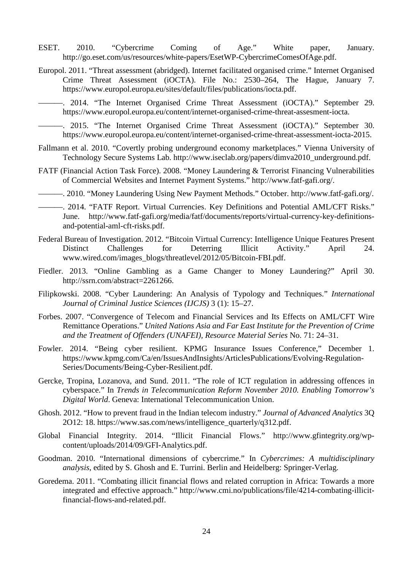- ESET. 2010. "Cybercrime Coming of Age." White paper, January. http://go.eset.com/us/resources/white-papers/EsetWP-CybercrimeComesOfAge.pdf.
- Europol. 2011. "Threat assessment (abridged). Internet facilitated organised crime." Internet Organised Crime Threat Assessment (iOCTA). File No.: 2530–264, The Hague, January 7. [https://www.europol.europa.eu/sites/default/files/publications/iocta.pdf.](https://www.europol.europa.eu/sites/default/files/publications/iocta.pdf)

———. 2014. "The Internet Organised Crime Threat Assessment (iOCTA)." September 29. [https://www.europol.europa.eu/content/internet-organised-crime-threat-assesment-iocta.](https://www.europol.europa.eu/content/internet-organised-crime-threat-assesment-iocta)

———. 2015. "The Internet Organised Crime Threat Assessment (iOCTA)." September 30. https://www.europol.europa.eu/content/internet-organised-crime-threat-assessment-iocta-2015.

- Fallmann et al. 2010. "Covertly probing underground economy marketplaces." Vienna University of Technology Secure Systems Lab. http://www.iseclab.org/papers/dimva2010\_underground.pdf.
- FATF (Financial Action Task Force). 2008. "Money Laundering & Terrorist Financing Vulnerabilities of Commercial Websites and Internet Payment Systems." http://www.fatf-gafi.org/.

———. 2010. "Money Laundering Using New Payment Methods." October. [http://www.fatf-gafi.org/.](http://www.fatf-gafi.org/)

- ———. 2014. "FATF Report. Virtual Currencies. Key Definitions and Potential AML/CFT Risks." June. http://www.fatf-gafi.org/media/fatf/documents/reports/virtual-currency-key-definitionsand-potential-aml-cft-risks.pdf.
- Federal Bureau of Investigation. 2012. "Bitcoin Virtual Currency: Intelligence Unique Features Present Distinct Challenges for Deterring Illicit Activity." April 24. www.wired.com/images\_blogs/threatlevel/2012/05/Bitcoin-FBI.pdf.
- Fiedler. 2013. "Online Gambling as a Game Changer to Money Laundering?" April 30. http://ssrn.com/abstract=2261266.
- Filipkowski. 2008. "Cyber Laundering: An Analysis of Typology and Techniques." *International Journal of Criminal Justice Sciences (IJCJS)* 3 (1): 15–27.
- Forbes. 2007. "Convergence of Telecom and Financial Services and Its Effects on AML/CFT Wire Remittance Operations." *United Nations Asia and Far East Institute for the Prevention of Crime and the Treatment of Offenders (UNAFEI), Resource Material Series* No. 71: 24–31.
- Fowler. 2014. "Being cyber resilient. KPMG Insurance Issues Conference," December 1. [https://www.kpmg.com/Ca/en/IssuesAndInsights/ArticlesPublications/Evolving-Regulation-](https://www.kpmg.com/Ca/en/IssuesAndInsights/ArticlesPublications/Evolving-Regulation-Series/Documents/Being-Cyber-Resilient.pdf)[Series/Documents/Being-Cyber-Resilient.pdf.](https://www.kpmg.com/Ca/en/IssuesAndInsights/ArticlesPublications/Evolving-Regulation-Series/Documents/Being-Cyber-Resilient.pdf)
- Gercke, Tropina, Lozanova, and Sund. 2011. "The role of ICT regulation in addressing offences in cyberspace." In *Trends in Telecommunication Reform November 2010. Enabling Tomorrow's Digital World*. Geneva: International Telecommunication Union.
- Ghosh. 2012. "How to prevent fraud in the Indian telecom industry." *Journal of Advanced Analytics* 3Q 2O12: 18. https://www.sas.com/news/intelligence\_quarterly/q312.pdf.
- Global Financial Integrity. 2014. "Illicit Financial Flows." http://www.gfintegrity.org/wpcontent/uploads/2014/09/GFI-Analytics.pdf.
- Goodman. 2010. "International dimensions of cybercrime." In *Cybercrimes: A multidisciplinary analysis*, edited by S. Ghosh and E. Turrini. Berlin and Heidelberg: Springer-Verlag.
- Goredema. 2011. "Combating illicit financial flows and related corruption in Africa: Towards a more integrated and effective approach." http://www.cmi.no/publications/file/4214-combating-illicitfinancial-flows-and-related.pdf.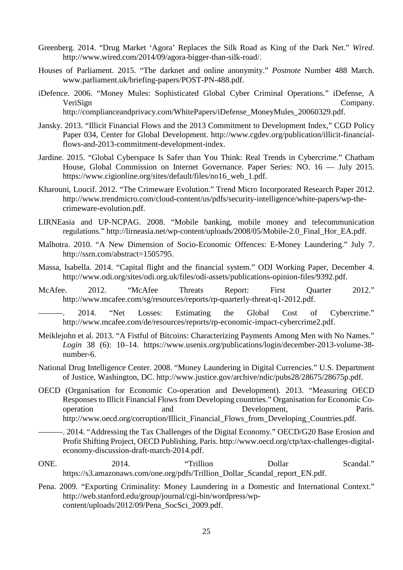- Greenberg. 2014. "Drug Market 'Agora' Replaces the Silk Road as King of the Dark Net." *Wired*. http://www.wired.com/2014/09/agora-bigger-than-silk-road/.
- Houses of Parliament. 2015. "The darknet and online anonymity." *Postnote* Number 488 March. www.parliament.uk/briefing-papers/POST-PN-488.pdf.
- iDefence. 2006. "Money Mules: Sophisticated Global Cyber Criminal Operations." iDefense, A VeriSign Company. http://complianceandprivacy.com/WhitePapers/iDefense\_MoneyMules\_20060329.pdf.
- Jansky. 2013. "Illicit Financial Flows and the 2013 Commitment to Development Index," CGD Policy Paper 034, Center for Global Development. [http://www.cgdev.org/publication/illicit-financial](http://www.cgdev.org/publication/illicit-financial-flows-and-2013-commitment-development-index)[flows-and-2013-commitment-development-index.](http://www.cgdev.org/publication/illicit-financial-flows-and-2013-commitment-development-index)
- Jardine. 2015. "Global Cyberspace Is Safer than You Think: Real Trends in Cybercrime." Chatham House, Global Commission on Internet Governance. Paper Series: NO. 16 — July 2015. [https://www.cigionline.org/sites/default/files/no16\\_web\\_1.pdf.](https://www.cigionline.org/sites/default/files/no16_web_1.pdf)
- Kharouni, Loucif. 2012. "The Crimeware Evolution." Trend Micro Incorporated Research Paper 2012. http://www.trendmicro.com/cloud-content/us/pdfs/security-intelligence/white-papers/wp-thecrimeware-evolution.pdf.
- LIRNEasia and UP‐NCPAG. 2008. "Mobile banking, mobile money and telecommunication regulations." http://lirneasia.net/wp-content/uploads/2008/05/Mobile-2.0\_Final\_Hor\_EA.pdf.
- Malhotra. 2010. "A New Dimension of Socio-Economic Offences: E-Money Laundering." July 7. [http://ssrn.com/abstract=1505795.](http://ssrn.com/abstract=1505795)
- Massa, Isabella. 2014. "Capital flight and the financial system." ODI Working Paper, December 4. http://www.odi.org/sites/odi.org.uk/files/odi-assets/publications-opinion-files/9392.pdf.
- McAfee. 2012. "McAfee Threats Report: First Quarter 2012." http://www.mcafee.com/sg/resources/reports/rp-quarterly-threat-q1-2012.pdf.

———. 2014. "Net Losses: Estimating the Global Cost of Cybercrime." http://www.mcafee.com/de/resources/reports/rp-economic-impact-cybercrime2.pdf.

- Meiklejohn et al. 2013. "A Fistful of Bitcoins: Characterizing Payments Among Men with No Names." *Login* 38 (6): 10–14. https://www.usenix.org/publications/login/december-2013-volume-38 number-6.
- National Drug Intelligence Center. 2008. "Money Laundering in Digital Currencies." U.S. Department of Justice, Washington, DC. http://www.justice.gov/archive/ndic/pubs28/28675/28675p.pdf.
- OECD (Organisation for Economic Co-operation and Development). 2013. "Measuring OECD Responses to Illicit Financial Flows from Developing countries." Organisation for Economic Cooperation and Development, Paris. http://www.oecd.org/corruption/Illicit\_Financial\_Flows\_from\_Developing\_Countries.pdf.

-. 2014. "Addressing the Tax Challenges of the Digital Economy." OECD/G20 Base Erosion and Profit Shifting Project, OECD Publishing, Paris. http://www.oecd.org/ctp/tax-challenges-digitaleconomy-discussion-draft-march-2014.pdf.

- ONE. 2014. "Trillion Dollar Scandal." https://s3.amazonaws.com/one.org/pdfs/Trillion\_Dollar\_Scandal\_report\_EN.pdf.
- Pena. 2009. "Exporting Criminality: Money Laundering in a Domestic and International Context." http://web.stanford.edu/group/journal/cgi-bin/wordpress/wpcontent/uploads/2012/09/Pena\_SocSci\_2009.pdf.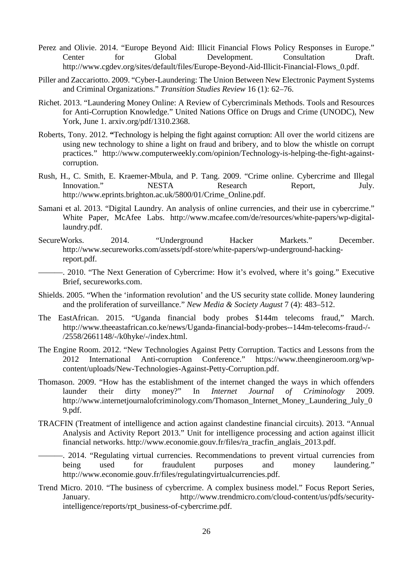- Perez and Olivie. 2014. "Europe Beyond Aid: Illicit Financial Flows Policy Responses in Europe." Center for Global Development. Consultation Draft. http://www.cgdev.org/sites/default/files/Europe-Beyond-Aid-Illicit-Financial-Flows\_0.pdf.
- Piller and Zaccariotto. 2009. "Cyber-Laundering: The Union Between New Electronic Payment Systems and Criminal Organizations." *Transition Studies Review* 16 (1): 62–76.
- Richet. 2013. "Laundering Money Online: A Review of Cybercriminals Methods. Tools and Resources for Anti-Corruption Knowledge." United Nations Office on Drugs and Crime (UNODC), New York, June 1. arxiv.org/pdf/1310.2368.
- Roberts, Tony. 2012. **"**Technology is helping the fight against corruption: All over the world citizens are using new technology to shine a light on fraud and bribery, and to blow the whistle on corrupt practices." http://www.computerweekly.com/opinion/Technology-is-helping-the-fight-againstcorruption.
- Rush, H., C. Smith, E. Kraemer-Mbula, and P. Tang. 2009. "Crime online. Cybercrime and Illegal<br>Innovation." NESTA Research Report. July. Innovation." NESTA Research Report, July. [http://www.eprints.brighton.ac.uk/5800/01/Crime\\_Online.pdf.](http://www.eprints.brighton.ac.uk/5800/01/Crime_Online.pdf)
- Samani et al. 2013. "Digital Laundry. An analysis of online currencies, and their use in cybercrime." White Paper, McAfee Labs. http://www.mcafee.com/de/resources/white-papers/wp-digitallaundry.pdf.
- SecureWorks. 2014. "Underground Hacker Markets." December. http://www.secureworks.com/assets/pdf-store/white-papers/wp-underground-hackingreport.pdf.

-. 2010. "The Next Generation of Cybercrime: How it's evolved, where it's going." Executive Brief, secureworks.com.

- Shields. 2005. "When the 'information revolution' and the US security state collide. Money laundering and the proliferation of surveillance." *New Media & Society August* 7 (4): 483–512.
- The EastAfrican. 2015. "Uganda financial body probes \$144m telecoms fraud," March. http://www.theeastafrican.co.ke/news/Uganda-financial-body-probes--144m-telecoms-fraud-/- /2558/2661148/-/k0hyke/-/index.html.
- The Engine Room. 2012. "New Technologies Against Petty Corruption. Tactics and Lessons from the 2012 International Anti-corruption Conference." https://www.theengineroom.org/wpcontent/uploads/New-Technologies-Against-Petty-Corruption.pdf.
- Thomason. 2009. "How has the establishment of the internet changed the ways in which offenders launder their dirty money?" In *Internet Journal of Criminology* 2009. http://www.internetjournalofcriminology.com/Thomason\_Internet\_Money\_Laundering\_July\_0 9.pdf.
- TRACFIN (Treatment of intelligence and action against clandestine financial circuits). 2013. "Annual Analysis and Activity Report 2013." Unit for intelligence processing and action against illicit financial networks. [http://www.economie.gouv.fr/files/ra\\_tracfin\\_anglais\\_2013.pdf.](http://www.economie.gouv.fr/files/ra_tracfin_anglais_2013.pdf)
- ———. 2014. "Regulating virtual currencies. Recommendations to prevent virtual currencies from being used for fraudulent purposes and money laundering." http://www.economie.gouv.fr/files/regulatingvirtualcurrencies.pdf.
- Trend Micro. 2010. "The business of cybercrime. A complex business model." Focus Report Series, January. [http://www.trendmicro.com/cloud-content/us/pdfs/security](http://www.trendmicro.com/cloud-content/us/pdfs/security-intelligence/reports/rpt_business-of-cybercrime.pdf)[intelligence/reports/rpt\\_business-of-cybercrime.pdf.](http://www.trendmicro.com/cloud-content/us/pdfs/security-intelligence/reports/rpt_business-of-cybercrime.pdf)